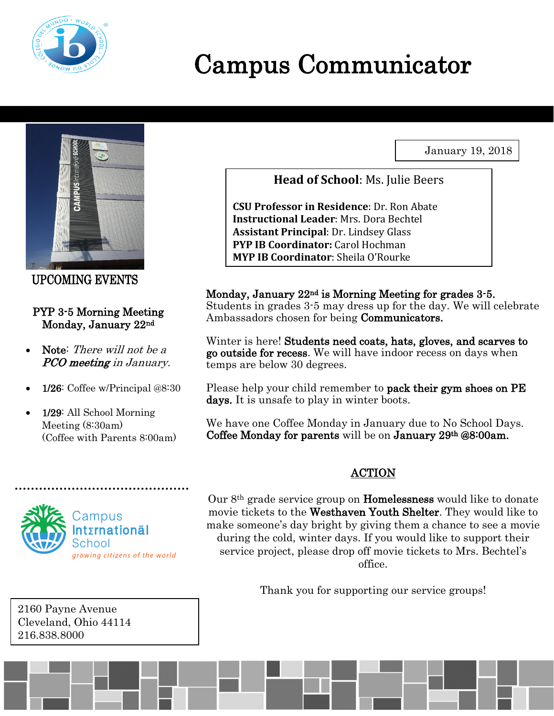

# Campus Communicator

January 19, 2018



UPCOMING EVENTS

#### PYP 3-5 Morning Meeting Monday, January 22nd

- Note: There will not be a PCO meeting in January.
- 1/26: Coffee w/Principal @8:30
- 1/29: All School Morning Meeting (8:30am) (Coffee with Parents 8:00am)



.

2160 Payne Avenue Cleveland, Ohio 44114 216.838.8000

**Head of School**: Ms. Julie Beers

**CSU Professor in Residence**: Dr. Ron Abate **Instructional Leader**: Mrs. Dora Bechtel **Assistant Principal**: Dr. Lindsey Glass **PYP IB Coordinator:** Carol Hochman **MYP IB Coordinator**: Sheila O'Rourke

#### Monday, January 22nd is Morning Meeting for grades 3-5.

Students in grades 3-5 may dress up for the day. We will celebrate Ambassadors chosen for being Communicators.

Winter is here! Students need coats, hats, gloves, and scarves to go outside for recess. We will have indoor recess on days when temps are below 30 degrees.

Please help your child remember to **pack their gym shoes on PE** days. It is unsafe to play in winter boots.

We have one Coffee Monday in January due to No School Days. Coffee Monday for parents will be on January  $29<sup>th</sup>$  @8:00am.

#### **ACTION**

Our 8th grade service group on Homelessness would like to donate movie tickets to the Westhaven Youth Shelter. They would like to make someone's day bright by giving them a chance to see a movie during the cold, winter days. If you would like to support their service project, please drop off movie tickets to Mrs. Bechtel's office.

Thank you for supporting our service groups!